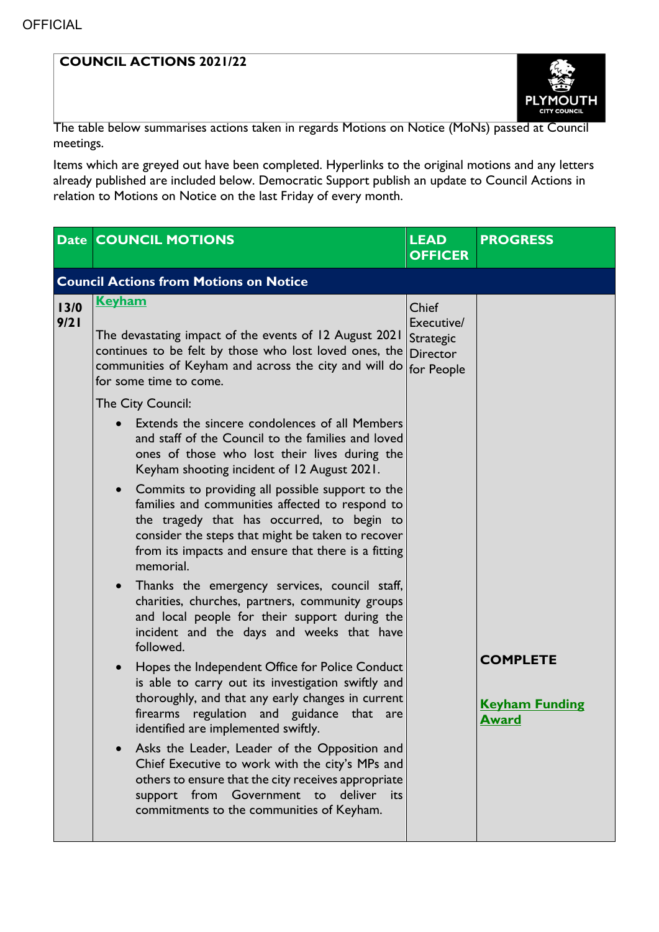## **COUNCIL ACTIONS 2021/22**



The table below summarises actions taken in regards Motions on Notice (MoNs) passed at Council meetings.

Items which are greyed out have been completed. Hyperlinks to the original motions and any letters already published are included below. Democratic Support publish an update to Council Actions in relation to Motions on Notice on the last Friday of every month.

|              | <b>Date COUNCIL MOTIONS</b>                                                                                                                                                                                                                                                                                                                                                                                                                                                                                                                                                                                                                                                                                                                                  | <b>LEAD</b><br><b>OFFICER</b>                                     | <b>PROGRESS</b>                                          |  |  |  |
|--------------|--------------------------------------------------------------------------------------------------------------------------------------------------------------------------------------------------------------------------------------------------------------------------------------------------------------------------------------------------------------------------------------------------------------------------------------------------------------------------------------------------------------------------------------------------------------------------------------------------------------------------------------------------------------------------------------------------------------------------------------------------------------|-------------------------------------------------------------------|----------------------------------------------------------|--|--|--|
|              | <b>Council Actions from Motions on Notice</b>                                                                                                                                                                                                                                                                                                                                                                                                                                                                                                                                                                                                                                                                                                                |                                                                   |                                                          |  |  |  |
| 13/0<br>9/21 | <u>Keyham</u><br>The devastating impact of the events of 12 August 2021<br>continues to be felt by those who lost loved ones, the<br>communities of Keyham and across the city and will do<br>for some time to come.<br>The City Council:                                                                                                                                                                                                                                                                                                                                                                                                                                                                                                                    | Chief<br>Executive/<br>Strategic<br><b>Director</b><br>for People |                                                          |  |  |  |
|              | Extends the sincere condolences of all Members<br>and staff of the Council to the families and loved<br>ones of those who lost their lives during the<br>Keyham shooting incident of 12 August 2021.<br>• Commits to providing all possible support to the<br>families and communities affected to respond to<br>the tragedy that has occurred, to begin to<br>consider the steps that might be taken to recover<br>from its impacts and ensure that there is a fitting<br>memorial.                                                                                                                                                                                                                                                                         |                                                                   |                                                          |  |  |  |
|              | Thanks the emergency services, council staff,<br>$\bullet$<br>charities, churches, partners, community groups<br>and local people for their support during the<br>incident and the days and weeks that have<br>followed.<br>Hopes the Independent Office for Police Conduct<br>$\bullet$<br>is able to carry out its investigation swiftly and<br>thoroughly, and that any early changes in current<br>regulation and guidance that are<br>firearms<br>identified are implemented swiftly.<br>Asks the Leader, Leader of the Opposition and<br>$\bullet$<br>Chief Executive to work with the city's MPs and<br>others to ensure that the city receives appropriate<br>support from Government to deliver<br>its<br>commitments to the communities of Keyham. |                                                                   | <b>COMPLETE</b><br><b>Keyham Funding</b><br><u>Award</u> |  |  |  |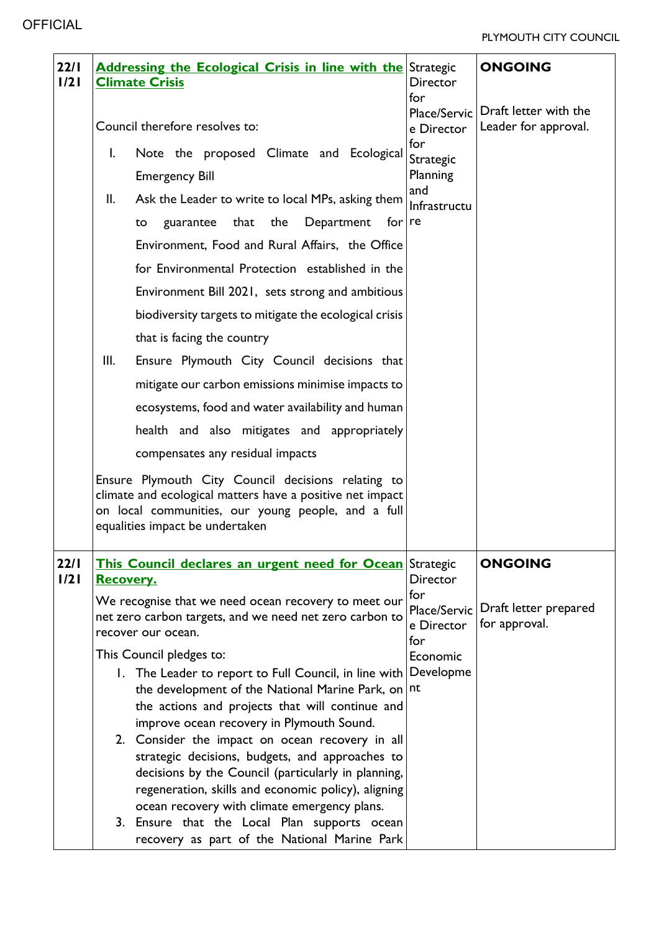| 22/1<br>1/21 |                                | <b>Addressing the Ecological Crisis in line with the Strategic</b><br><b>Climate Crisis</b>                                                                                                              | <b>Director</b><br>for                   | <b>ONGOING</b>                                |
|--------------|--------------------------------|----------------------------------------------------------------------------------------------------------------------------------------------------------------------------------------------------------|------------------------------------------|-----------------------------------------------|
|              | Council therefore resolves to: |                                                                                                                                                                                                          | Place/Servic<br>e Director               | Draft letter with the<br>Leader for approval. |
|              | I.                             | Note the proposed Climate and Ecological<br><b>Emergency Bill</b>                                                                                                                                        | for<br>Strategic<br>Planning             |                                               |
|              | II.                            | Ask the Leader to write to local MPs, asking them<br>that the<br>Department<br>guarantee<br>for<br>to                                                                                                    | and<br>Infrastructu<br>re                |                                               |
|              |                                | Environment, Food and Rural Affairs, the Office                                                                                                                                                          |                                          |                                               |
|              |                                | for Environmental Protection established in the<br>Environment Bill 2021, sets strong and ambitious                                                                                                      |                                          |                                               |
|              |                                | biodiversity targets to mitigate the ecological crisis<br>that is facing the country                                                                                                                     |                                          |                                               |
|              | III.                           | Ensure Plymouth City Council decisions that                                                                                                                                                              |                                          |                                               |
|              |                                | mitigate our carbon emissions minimise impacts to                                                                                                                                                        |                                          |                                               |
|              |                                | ecosystems, food and water availability and human                                                                                                                                                        |                                          |                                               |
|              |                                | health and also mitigates and appropriately                                                                                                                                                              |                                          |                                               |
|              |                                | compensates any residual impacts                                                                                                                                                                         |                                          |                                               |
|              |                                | Ensure Plymouth City Council decisions relating to<br>climate and ecological matters have a positive net impact<br>on local communities, our young people, and a full<br>equalities impact be undertaken |                                          |                                               |
| 22/1<br>1/21 | <b>Recovery.</b>               | This Council declares an urgent need for Ocean                                                                                                                                                           | Strategic<br><b>Director</b>             | <b>ONGOING</b>                                |
|              |                                | We recognise that we need ocean recovery to meet our<br>net zero carbon targets, and we need net zero carbon to<br>recover our ocean.                                                                    | for<br>Place/Servic<br>e Director<br>for | Draft letter prepared<br>for approval.        |
|              |                                | This Council pledges to:                                                                                                                                                                                 | Economic                                 |                                               |
|              |                                | 1. The Leader to report to Full Council, in line with<br>the development of the National Marine Park, on                                                                                                 | Developme<br>nt                          |                                               |
|              |                                | the actions and projects that will continue and                                                                                                                                                          |                                          |                                               |
|              |                                | improve ocean recovery in Plymouth Sound.<br>2. Consider the impact on ocean recovery in all                                                                                                             |                                          |                                               |
|              |                                | strategic decisions, budgets, and approaches to                                                                                                                                                          |                                          |                                               |
|              |                                | decisions by the Council (particularly in planning,                                                                                                                                                      |                                          |                                               |
|              |                                | regeneration, skills and economic policy), aligning<br>ocean recovery with climate emergency plans.                                                                                                      |                                          |                                               |
|              |                                | 3. Ensure that the Local Plan supports ocean<br>recovery as part of the National Marine Park                                                                                                             |                                          |                                               |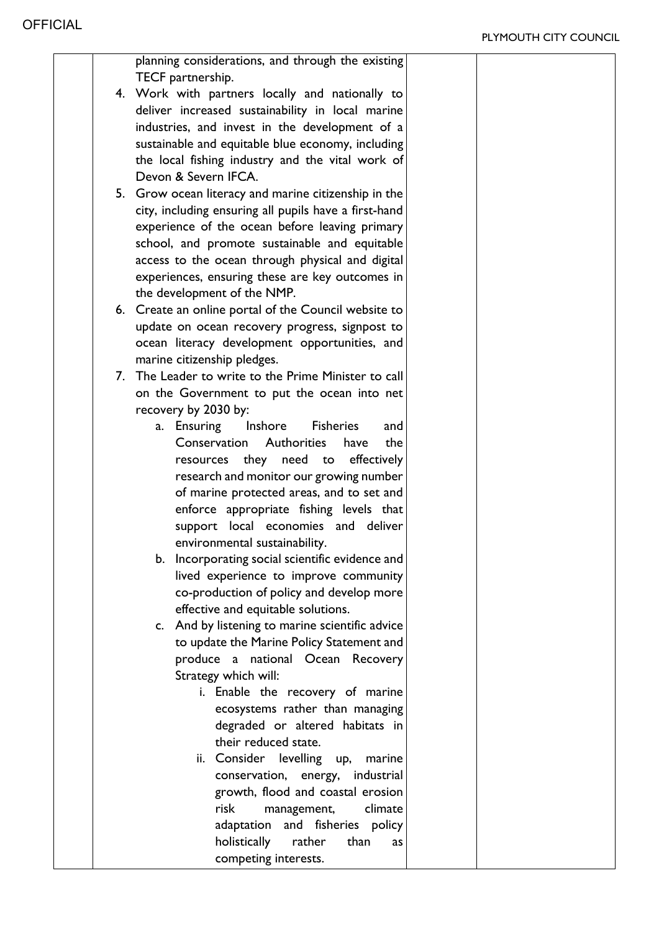|  | planning considerations, and through the existing                             |  |
|--|-------------------------------------------------------------------------------|--|
|  | TECF partnership.                                                             |  |
|  | 4. Work with partners locally and nationally to                               |  |
|  | deliver increased sustainability in local marine                              |  |
|  | industries, and invest in the development of a                                |  |
|  | sustainable and equitable blue economy, including                             |  |
|  | the local fishing industry and the vital work of                              |  |
|  | Devon & Severn IFCA.                                                          |  |
|  | 5. Grow ocean literacy and marine citizenship in the                          |  |
|  | city, including ensuring all pupils have a first-hand                         |  |
|  | experience of the ocean before leaving primary                                |  |
|  | school, and promote sustainable and equitable                                 |  |
|  | access to the ocean through physical and digital                              |  |
|  | experiences, ensuring these are key outcomes in                               |  |
|  | the development of the NMP.                                                   |  |
|  | 6. Create an online portal of the Council website to                          |  |
|  | update on ocean recovery progress, signpost to                                |  |
|  | ocean literacy development opportunities, and                                 |  |
|  | marine citizenship pledges.                                                   |  |
|  | 7. The Leader to write to the Prime Minister to call                          |  |
|  | on the Government to put the ocean into net                                   |  |
|  | recovery by 2030 by:                                                          |  |
|  | Ensuring Inshore Fisheries<br>and<br>a.<br>Conservation Authorities           |  |
|  | the<br>have                                                                   |  |
|  | resources they need to effectively<br>research and monitor our growing number |  |
|  | of marine protected areas, and to set and                                     |  |
|  | enforce appropriate fishing levels that                                       |  |
|  | support local economies and deliver                                           |  |
|  | environmental sustainability.                                                 |  |
|  | b. Incorporating social scientific evidence and                               |  |
|  | lived experience to improve community                                         |  |
|  | co-production of policy and develop more                                      |  |
|  | effective and equitable solutions.                                            |  |
|  | c. And by listening to marine scientific advice                               |  |
|  | to update the Marine Policy Statement and                                     |  |
|  | produce a national Ocean Recovery                                             |  |
|  | Strategy which will:                                                          |  |
|  | i. Enable the recovery of marine                                              |  |
|  | ecosystems rather than managing                                               |  |
|  | degraded or altered habitats in                                               |  |
|  | their reduced state.                                                          |  |
|  | ii. Consider levelling up,<br>marine                                          |  |
|  | conservation, energy, industrial                                              |  |
|  | growth, flood and coastal erosion                                             |  |
|  | risk<br>management,<br>climate                                                |  |
|  | adaptation and fisheries policy                                               |  |
|  | holistically<br>rather<br>than<br>as                                          |  |
|  | competing interests.                                                          |  |
|  |                                                                               |  |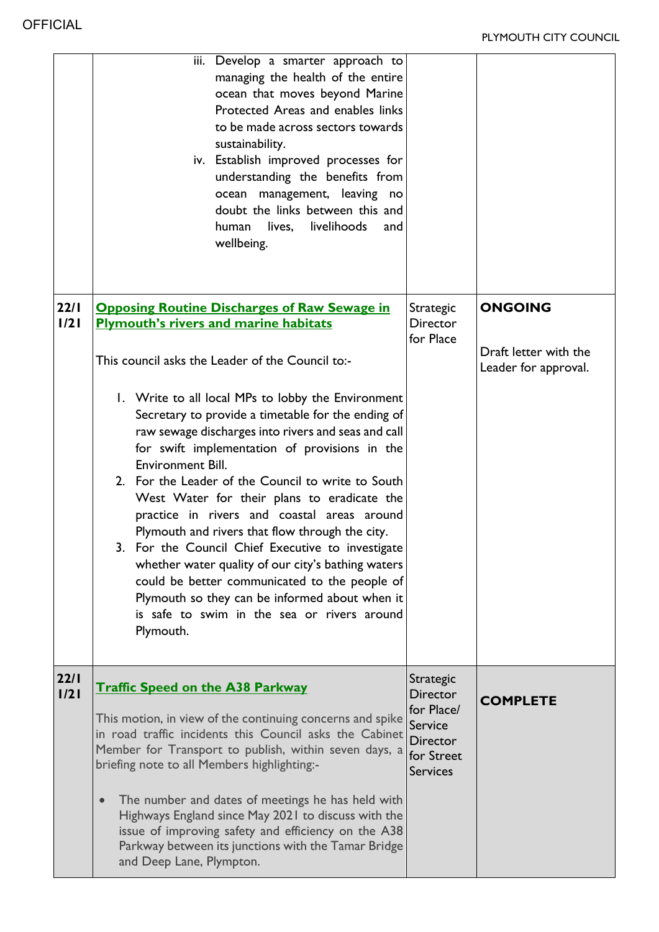|              | iii. Develop a smarter approach to<br>managing the health of the entire<br>ocean that moves beyond Marine<br>Protected Areas and enables links<br>to be made across sectors towards<br>sustainability.<br>iv. Establish improved processes for<br>understanding the benefits from<br>ocean management, leaving no<br>doubt the links between this and<br>livelihoods<br>human<br>lives,<br>and<br>wellbeing.                                                                                                                                                                                                                                                                                                                                                                                                                                                                             |                                                                                                           |                                                                 |
|--------------|------------------------------------------------------------------------------------------------------------------------------------------------------------------------------------------------------------------------------------------------------------------------------------------------------------------------------------------------------------------------------------------------------------------------------------------------------------------------------------------------------------------------------------------------------------------------------------------------------------------------------------------------------------------------------------------------------------------------------------------------------------------------------------------------------------------------------------------------------------------------------------------|-----------------------------------------------------------------------------------------------------------|-----------------------------------------------------------------|
| 22/1<br>1/21 | <b>Opposing Routine Discharges of Raw Sewage in</b><br><b>Plymouth's rivers and marine habitats</b><br>This council asks the Leader of the Council to:-<br>1. Write to all local MPs to lobby the Environment<br>Secretary to provide a timetable for the ending of<br>raw sewage discharges into rivers and seas and call<br>for swift implementation of provisions in the<br><b>Environment Bill.</b><br>2. For the Leader of the Council to write to South<br>West Water for their plans to eradicate the<br>practice in rivers and coastal areas around<br>Plymouth and rivers that flow through the city.<br>3. For the Council Chief Executive to investigate<br>whether water quality of our city's bathing waters<br>could be better communicated to the people of<br>Plymouth so they can be informed about when it<br>is safe to swim in the sea or rivers around<br>Plymouth. | <b>Strategic</b><br><b>Director</b><br>for Place                                                          | <b>ONGOING</b><br>Draft letter with the<br>Leader for approval. |
| 22/1<br>1/21 | <b>Traffic Speed on the A38 Parkway</b><br>This motion, in view of the continuing concerns and spike<br>in road traffic incidents this Council asks the Cabinet<br>Member for Transport to publish, within seven days, a<br>briefing note to all Members highlighting:-<br>The number and dates of meetings he has held with<br>Highways England since May 2021 to discuss with the<br>issue of improving safety and efficiency on the A38<br>Parkway between its junctions with the Tamar Bridge<br>and Deep Lane, Plympton.                                                                                                                                                                                                                                                                                                                                                            | Strategic<br><b>Director</b><br>for Place/<br><b>Service</b><br>Director<br>for Street<br><b>Services</b> | <b>COMPLETE</b>                                                 |